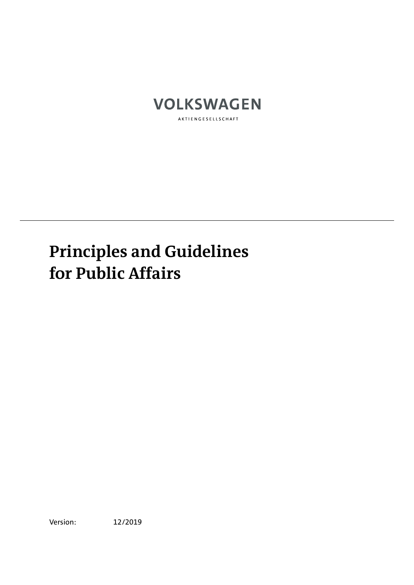

AKTIENGESELLSCHAFT

# **Principles and Guidelines for Public Affairs**

Version: 12/2019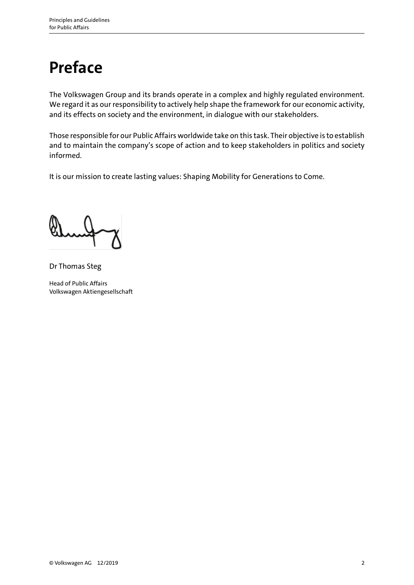#### **Preface**

The Volkswagen Group and its brands operate in a complex and highly regulated environment. We regard it as our responsibility to actively help shape the framework for our economic activity, and its effects on society and the environment, in dialogue with our stakeholders.

Those responsible for our Public Affairs worldwide take on this task. Their objective is to establish and to maintain the company's scope of action and to keep stakeholders in politics and society informed.

It is our mission to create lasting values: Shaping Mobility for Generations to Come.

Dr Thomas Steg

Head of Public Affairs Volkswagen Aktiengesellschaft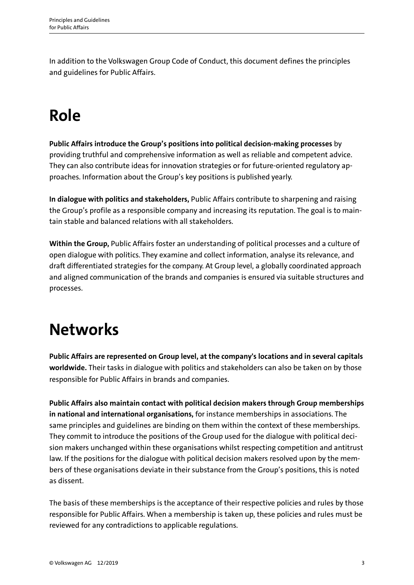In addition to the Volkswagen Group Code of Conduct, this document defines the principles and guidelines for Public Affairs.

## **Role**

**Public Affairs introduce the Group's positions into political decision-making processes** by providing truthful and comprehensive information as well as reliable and competent advice. They can also contribute ideas for innovation strategies or for future-oriented regulatory approaches. Information about the Group's key positions is published yearly.

**In dialogue with politics and stakeholders,** Public Affairs contribute to sharpening and raising the Group's profile as a responsible company and increasing its reputation. The goal is to maintain stable and balanced relations with all stakeholders.

**Within the Group,** Public Affairs foster an understanding of political processes and a culture of open dialogue with politics. They examine and collect information, analyse its relevance, and draft differentiated strategies for the company. At Group level, a globally coordinated approach and aligned communication of the brands and companies is ensured via suitable structures and processes.

## **Networks**

**Public Affairs are represented on Group level, at the company's locations and in several capitals worldwide.** Their tasks in dialogue with politics and stakeholders can also be taken on by those responsible for Public Affairs in brands and companies.

**Public Affairs also maintain contact with political decision makers through Group memberships in national and international organisations,** for instance memberships in associations. The same principles and guidelines are binding on them within the context of these memberships. They commit to introduce the positions of the Group used for the dialogue with political decision makers unchanged within these organisations whilst respecting competition and antitrust law. If the positions for the dialogue with political decision makers resolved upon by the members of these organisations deviate in their substance from the Group's positions, this is noted as dissent.

The basis of these memberships is the acceptance of their respective policies and rules by those responsible for Public Affairs. When a membership is taken up, these policies and rules must be reviewed for any contradictions to applicable regulations.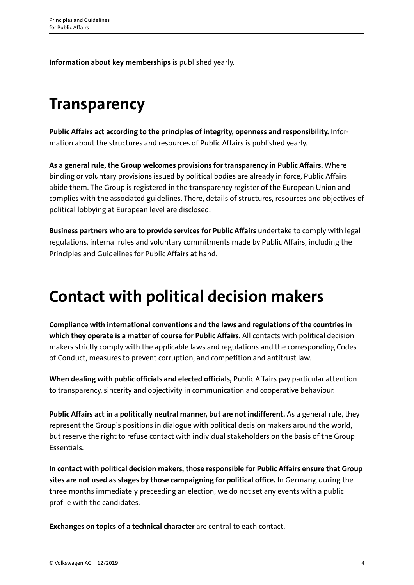**Information about key memberships** is published yearly.

## **Transparency**

**Public Affairs act according to the principles of integrity, openness and responsibility.** Information about the structures and resources of Public Affairs is published yearly.

**As a general rule, the Group welcomes provisions for transparency in Public Affairs.** Where binding or voluntary provisions issued by political bodies are already in force, Public Affairs abide them. The Group is registered in the transparency register of the European Union and complies with the associated guidelines. There, details of structures, resources and objectives of political lobbying at European level are disclosed.

**Business partners who are to provide services for Public Affairs** undertake to comply with legal regulations, internal rules and voluntary commitments made by Public Affairs, including the Principles and Guidelines for Public Affairs at hand.

## **Contact with political decision makers**

**Compliance with international conventions and the laws and regulations of the countries in which they operate is a matter of course for Public Affairs**. All contacts with political decision makers strictly comply with the applicable laws and regulations and the corresponding Codes of Conduct, measures to prevent corruption, and competition and antitrust law.

**When dealing with public officials and elected officials,** Public Affairs pay particular attention to transparency, sincerity and objectivity in communication and cooperative behaviour.

Public Affairs act in a politically neutral manner, but are not indifferent. As a general rule, they represent the Group's positions in dialogue with political decision makers around the world, but reserve the right to refuse contact with individual stakeholders on the basis of the Group Essentials.

**In contact with political decision makers, those responsible for Public Affairs ensure that Group sites are not used as stages by those campaigning for political office.** In Germany, during the three months immediately preceeding an election, we do not set any events with a public profile with the candidates.

**Exchanges on topics of a technical character** are central to each contact.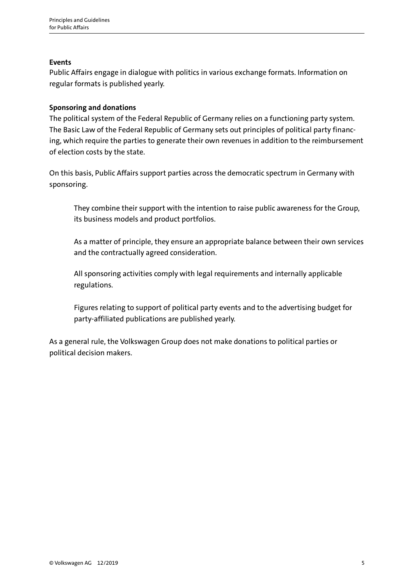#### **Events**

Public Affairs engage in dialogue with politics in various exchange formats. Information on regular formats is published yearly.

#### **Sponsoring and donations**

The political system of the Federal Republic of Germany relies on a functioning party system. The Basic Law of the Federal Republic of Germany sets out principles of political party financing, which require the parties to generate their own revenues in addition to the reimbursement of election costs by the state.

On this basis, Public Affairs support parties across the democratic spectrum in Germany with sponsoring.

They combine their support with the intention to raise public awareness for the Group, its business models and product portfolios.

As a matter of principle, they ensure an appropriate balance between their own services and the contractually agreed consideration.

All sponsoring activities comply with legal requirements and internally applicable regulations.

Figures relating to support of political party events and to the advertising budget for party-affiliated publications are published yearly.

As a general rule, the Volkswagen Group does not make donations to political parties or political decision makers.